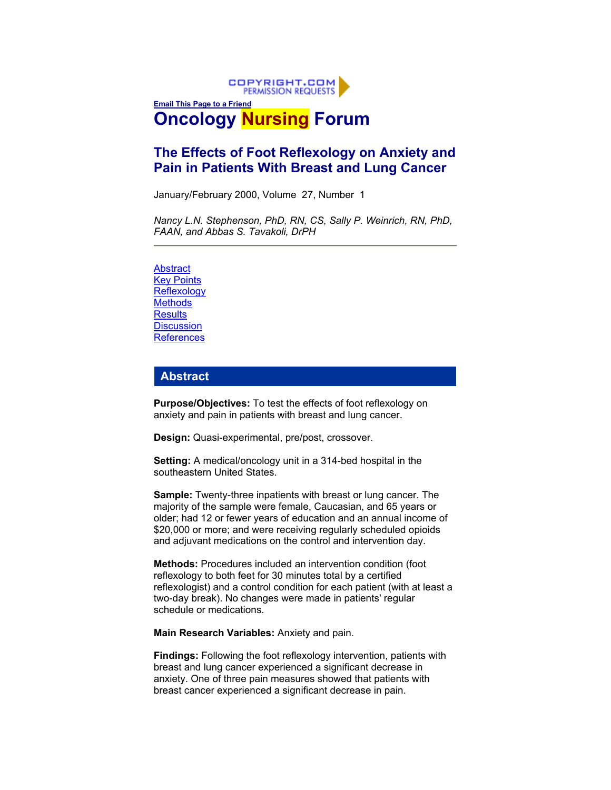

# **The Effects of Foot Reflexology on Anxiety and Pain in Patients With Breast and Lung Cancer**

January/February 2000, Volume 27, Number 1

*Nancy L.N. Stephenson, PhD, RN, CS, Sally P. Weinrich, RN, PhD, FAAN, and Abbas S. Tavakoli, DrPH*

[Abstract](http://www.ons.org/xp6/ONS/Library.xml/ONS_Publications.xml/ONF.xml/ONF2000.xml/JF2000.xml/Members_Only/) **[Key Points](http://www.ons.org/xp6/ONS/Library.xml/ONS_Publications.xml/ONF.xml/ONF2000.xml/JF2000.xml/Members_Only/) [Reflexology](http://www.ons.org/xp6/ONS/Library.xml/ONS_Publications.xml/ONF.xml/ONF2000.xml/JF2000.xml/Members_Only/) [Methods](http://www.ons.org/xp6/ONS/Library.xml/ONS_Publications.xml/ONF.xml/ONF2000.xml/JF2000.xml/Members_Only/) [Results](http://www.ons.org/xp6/ONS/Library.xml/ONS_Publications.xml/ONF.xml/ONF2000.xml/JF2000.xml/Members_Only/) [Discussion](http://www.ons.org/xp6/ONS/Library.xml/ONS_Publications.xml/ONF.xml/ONF2000.xml/JF2000.xml/Members_Only/) [References](http://www.ons.org/xp6/ONS/Library.xml/ONS_Publications.xml/ONF.xml/ONF2000.xml/JF2000.xml/Members_Only/)** 

## **Abstract**

**Purpose/Objectives:** To test the effects of foot reflexology on anxiety and pain in patients with breast and lung cancer.

**Design:** Quasi-experimental, pre/post, crossover.

**Setting:** A medical/oncology unit in a 314-bed hospital in the southeastern United States.

**Sample:** Twenty-three inpatients with breast or lung cancer. The majority of the sample were female, Caucasian, and 65 years or older; had 12 or fewer years of education and an annual income of \$20,000 or more; and were receiving regularly scheduled opioids and adjuvant medications on the control and intervention day.

**Methods:** Procedures included an intervention condition (foot reflexology to both feet for 30 minutes total by a certified reflexologist) and a control condition for each patient (with at least a two-day break). No changes were made in patients' regular schedule or medications.

**Main Research Variables:** Anxiety and pain.

**Findings:** Following the foot reflexology intervention, patients with breast and lung cancer experienced a significant decrease in anxiety. One of three pain measures showed that patients with breast cancer experienced a significant decrease in pain.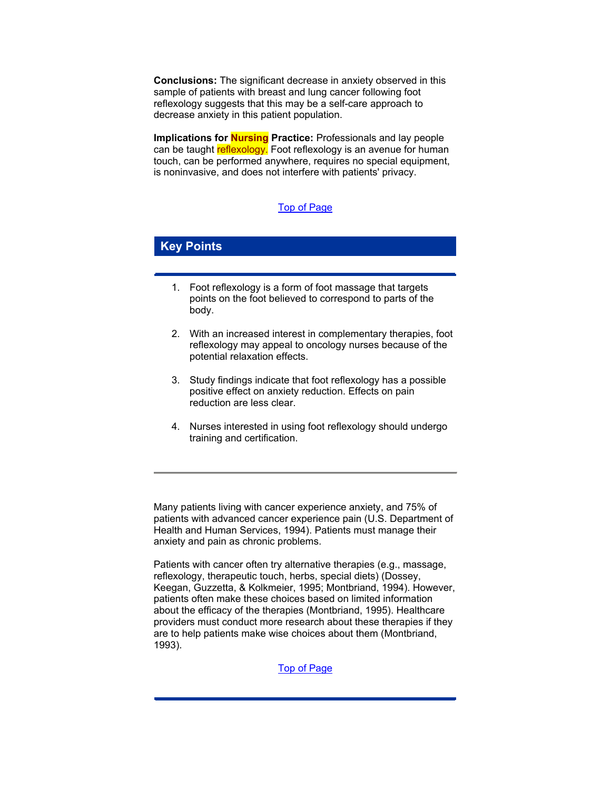**Conclusions:** The significant decrease in anxiety observed in this sample of patients with breast and lung cancer following foot reflexology suggests that this may be a self-care approach to decrease anxiety in this patient population.

**Implications for Nursing Practice:** Professionals and lay people can be taught reflexology. Foot reflexology is an avenue for human touch, can be performed anywhere, requires no special equipment, is noninvasive, and does not interfere with patients' privacy.

### [Top of Page](http://www.ons.org/xp6/ONS/Library.xml/ONS_Publications.xml/ONF.xml/ONF2000.xml/JF2000.xml/Members_Only/)

## **Key Points**

- 1. Foot reflexology is a form of foot massage that targets points on the foot believed to correspond to parts of the body.
- 2. With an increased interest in complementary therapies, foot reflexology may appeal to oncology nurses because of the potential relaxation effects.
- 3. Study findings indicate that foot reflexology has a possible positive effect on anxiety reduction. Effects on pain reduction are less clear.
- 4. Nurses interested in using foot reflexology should undergo training and certification.

Many patients living with cancer experience anxiety, and 75% of patients with advanced cancer experience pain (U.S. Department of Health and Human Services, 1994). Patients must manage their anxiety and pain as chronic problems.

Patients with cancer often try alternative therapies (e.g., massage, reflexology, therapeutic touch, herbs, special diets) (Dossey, Keegan, Guzzetta, & Kolkmeier, 1995; Montbriand, 1994). However, patients often make these choices based on limited information about the efficacy of the therapies (Montbriand, 1995). Healthcare providers must conduct more research about these therapies if they are to help patients make wise choices about them (Montbriand, 1993).

[Top of Page](http://www.ons.org/xp6/ONS/Library.xml/ONS_Publications.xml/ONF.xml/ONF2000.xml/JF2000.xml/Members_Only/)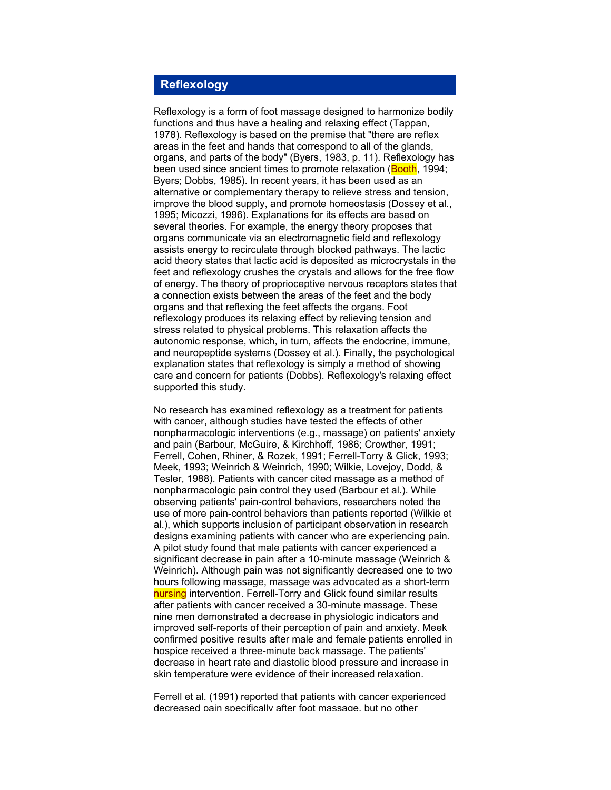## **Reflexology**

Reflexology is a form of foot massage designed to harmonize bodily functions and thus have a healing and relaxing effect (Tappan, 1978). Reflexology is based on the premise that "there are reflex areas in the feet and hands that correspond to all of the glands, organs, and parts of the body" (Byers, 1983, p. 11). Reflexology has been used since ancient times to promote relaxation (**Booth**, 1994; Byers; Dobbs, 1985). In recent years, it has been used as an alternative or complementary therapy to relieve stress and tension, improve the blood supply, and promote homeostasis (Dossey et al., 1995; Micozzi, 1996). Explanations for its effects are based on several theories. For example, the energy theory proposes that organs communicate via an electromagnetic field and reflexology assists energy to recirculate through blocked pathways. The lactic acid theory states that lactic acid is deposited as microcrystals in the feet and reflexology crushes the crystals and allows for the free flow of energy. The theory of proprioceptive nervous receptors states that a connection exists between the areas of the feet and the body organs and that reflexing the feet affects the organs. Foot reflexology produces its relaxing effect by relieving tension and stress related to physical problems. This relaxation affects the autonomic response, which, in turn, affects the endocrine, immune, and neuropeptide systems (Dossey et al.). Finally, the psychological explanation states that reflexology is simply a method of showing care and concern for patients (Dobbs). Reflexology's relaxing effect supported this study.

No research has examined reflexology as a treatment for patients with cancer, although studies have tested the effects of other nonpharmacologic interventions (e.g., massage) on patients' anxiety and pain (Barbour, McGuire, & Kirchhoff, 1986; Crowther, 1991; Ferrell, Cohen, Rhiner, & Rozek, 1991; Ferrell-Torry & Glick, 1993; Meek, 1993; Weinrich & Weinrich, 1990; Wilkie, Lovejoy, Dodd, & Tesler, 1988). Patients with cancer cited massage as a method of nonpharmacologic pain control they used (Barbour et al.). While observing patients' pain-control behaviors, researchers noted the use of more pain-control behaviors than patients reported (Wilkie et al.), which supports inclusion of participant observation in research designs examining patients with cancer who are experiencing pain. A pilot study found that male patients with cancer experienced a significant decrease in pain after a 10-minute massage (Weinrich & Weinrich). Although pain was not significantly decreased one to two hours following massage, massage was advocated as a short-term nursing intervention. Ferrell-Torry and Glick found similar results after patients with cancer received a 30-minute massage. These nine men demonstrated a decrease in physiologic indicators and improved self-reports of their perception of pain and anxiety. Meek confirmed positive results after male and female patients enrolled in hospice received a three-minute back massage. The patients' decrease in heart rate and diastolic blood pressure and increase in skin temperature were evidence of their increased relaxation.

Ferrell et al. (1991) reported that patients with cancer experienced decreased pain specifically after foot massage, but no other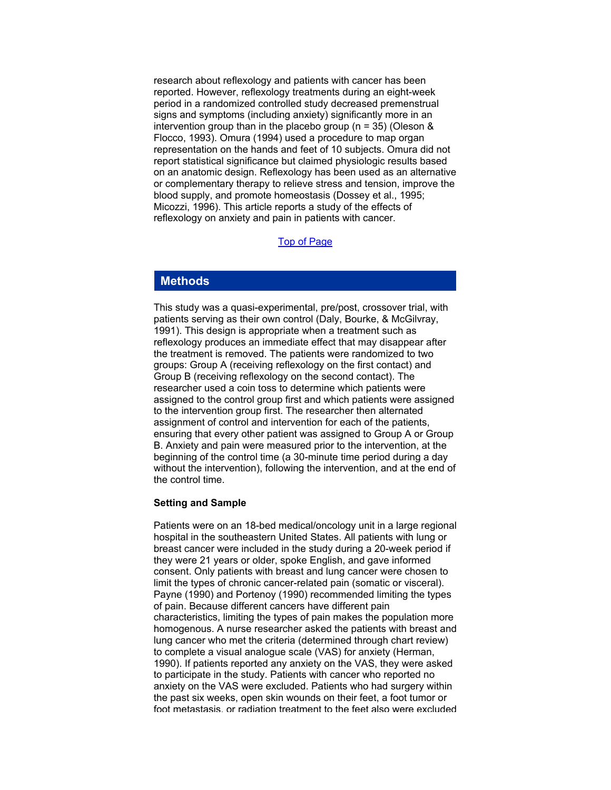research about reflexology and patients with cancer has been reported. However, reflexology treatments during an eight-week period in a randomized controlled study decreased premenstrual signs and symptoms (including anxiety) significantly more in an intervention group than in the placebo group (n = 35) (Oleson & Flocco, 1993). Omura (1994) used a procedure to map organ representation on the hands and feet of 10 subjects. Omura did not report statistical significance but claimed physiologic results based on an anatomic design. Reflexology has been used as an alternative or complementary therapy to relieve stress and tension, improve the blood supply, and promote homeostasis (Dossey et al., 1995; Micozzi, 1996). This article reports a study of the effects of reflexology on anxiety and pain in patients with cancer.

#### [Top of Page](http://www.ons.org/xp6/ONS/Library.xml/ONS_Publications.xml/ONF.xml/ONF2000.xml/JF2000.xml/Members_Only/)

#### **Methods**

This study was a quasi-experimental, pre/post, crossover trial, with patients serving as their own control (Daly, Bourke, & McGilvray, 1991). This design is appropriate when a treatment such as reflexology produces an immediate effect that may disappear after the treatment is removed. The patients were randomized to two groups: Group A (receiving reflexology on the first contact) and Group B (receiving reflexology on the second contact). The researcher used a coin toss to determine which patients were assigned to the control group first and which patients were assigned to the intervention group first. The researcher then alternated assignment of control and intervention for each of the patients, ensuring that every other patient was assigned to Group A or Group B. Anxiety and pain were measured prior to the intervention, at the beginning of the control time (a 30-minute time period during a day without the intervention), following the intervention, and at the end of the control time.

#### **Setting and Sample**

Patients were on an 18-bed medical/oncology unit in a large regional hospital in the southeastern United States. All patients with lung or breast cancer were included in the study during a 20-week period if they were 21 years or older, spoke English, and gave informed consent. Only patients with breast and lung cancer were chosen to limit the types of chronic cancer-related pain (somatic or visceral). Payne (1990) and Portenoy (1990) recommended limiting the types of pain. Because different cancers have different pain characteristics, limiting the types of pain makes the population more homogenous. A nurse researcher asked the patients with breast and lung cancer who met the criteria (determined through chart review) to complete a visual analogue scale (VAS) for anxiety (Herman, 1990). If patients reported any anxiety on the VAS, they were asked to participate in the study. Patients with cancer who reported no anxiety on the VAS were excluded. Patients who had surgery within the past six weeks, open skin wounds on their feet, a foot tumor or foot metastasis, or radiation treatment to the feet also were excluded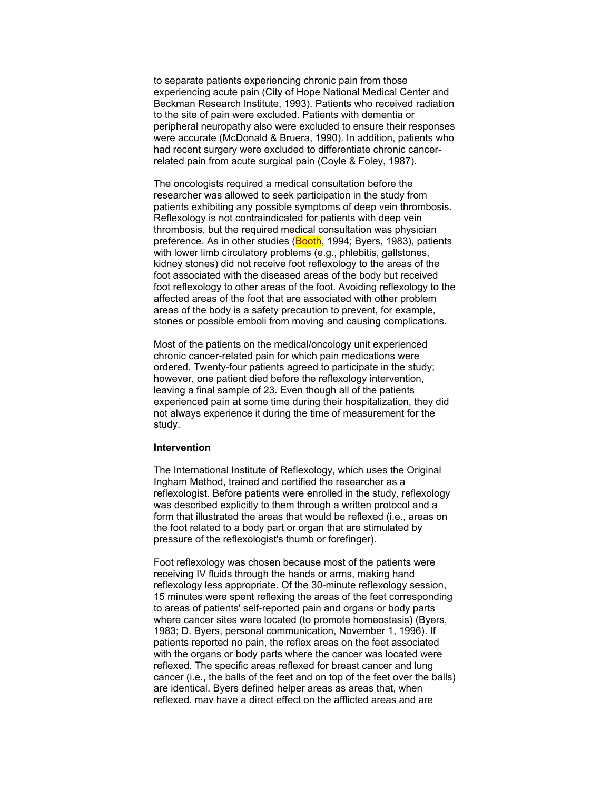to separate patients experiencing chronic pain from those experiencing acute pain (City of Hope National Medical Center and Beckman Research Institute, 1993). Patients who received radiation to the site of pain were excluded. Patients with dementia or peripheral neuropathy also were excluded to ensure their responses were accurate (McDonald & Bruera, 1990). In addition, patients who had recent surgery were excluded to differentiate chronic cancerrelated pain from acute surgical pain (Coyle & Foley, 1987).

The oncologists required a medical consultation before the researcher was allowed to seek participation in the study from patients exhibiting any possible symptoms of deep vein thrombosis. Reflexology is not contraindicated for patients with deep vein thrombosis, but the required medical consultation was physician preference. As in other studies (Booth, 1994; Byers, 1983), patients with lower limb circulatory problems (e.g., phlebitis, gallstones, kidney stones) did not receive foot reflexology to the areas of the foot associated with the diseased areas of the body but received foot reflexology to other areas of the foot. Avoiding reflexology to the affected areas of the foot that are associated with other problem areas of the body is a safety precaution to prevent, for example, stones or possible emboli from moving and causing complications.

Most of the patients on the medical/oncology unit experienced chronic cancer-related pain for which pain medications were ordered. Twenty-four patients agreed to participate in the study; however, one patient died before the reflexology intervention, leaving a final sample of 23. Even though all of the patients experienced pain at some time during their hospitalization, they did not always experience it during the time of measurement for the study.

#### **Intervention**

The International Institute of Reflexology, which uses the Original Ingham Method, trained and certified the researcher as a reflexologist. Before patients were enrolled in the study, reflexology was described explicitly to them through a written protocol and a form that illustrated the areas that would be reflexed (i.e., areas on the foot related to a body part or organ that are stimulated by pressure of the reflexologist's thumb or forefinger).

Foot reflexology was chosen because most of the patients were receiving IV fluids through the hands or arms, making hand reflexology less appropriate. Of the 30-minute reflexology session, 15 minutes were spent reflexing the areas of the feet corresponding to areas of patients' self-reported pain and organs or body parts where cancer sites were located (to promote homeostasis) (Byers, 1983; D. Byers, personal communication, November 1, 1996). If patients reported no pain, the reflex areas on the feet associated with the organs or body parts where the cancer was located were reflexed. The specific areas reflexed for breast cancer and lung cancer (i.e., the balls of the feet and on top of the feet over the balls) are identical. Byers defined helper areas as areas that, when reflexed, may have a direct effect on the afflicted areas and are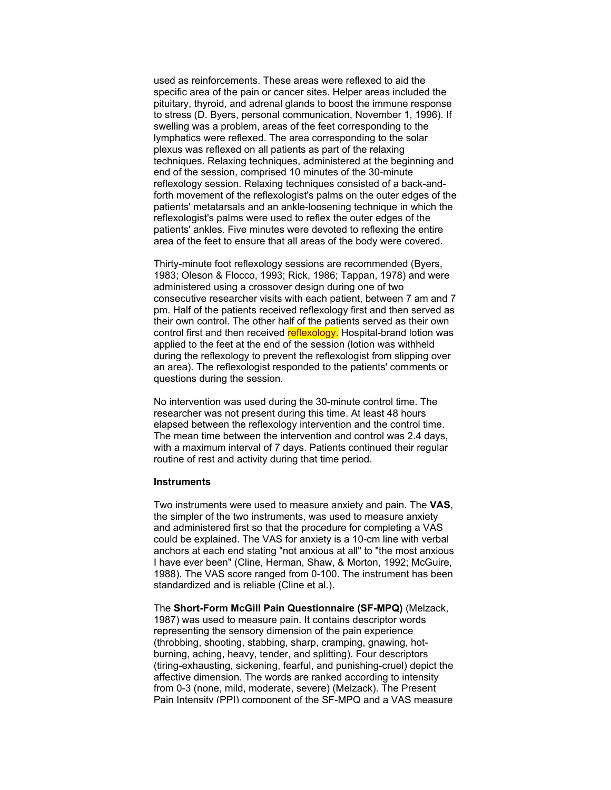used as reinforcements. These areas were reflexed to aid the specific area of the pain or cancer sites. Helper areas included the pituitary, thyroid, and adrenal glands to boost the immune response to stress (D. Byers, personal communication, November 1, 1996). If swelling was a problem, areas of the feet corresponding to the lymphatics were reflexed. The area corresponding to the solar plexus was reflexed on all patients as part of the relaxing techniques. Relaxing techniques, administered at the beginning and end of the session, comprised 10 minutes of the 30-minute reflexology session. Relaxing techniques consisted of a back-andforth movement of the reflexologist's palms on the outer edges of the patients' metatarsals and an ankle-loosening technique in which the reflexologist's palms were used to reflex the outer edges of the patients' ankles. Five minutes were devoted to reflexing the entire area of the feet to ensure that all areas of the body were covered.

Thirty-minute foot reflexology sessions are recommended (Byers, 1983; Oleson & Flocco, 1993; Rick, 1986; Tappan, 1978) and were administered using a crossover design during one of two consecutive researcher visits with each patient, between 7 am and 7 pm. Half of the patients received reflexology first and then served as their own control. The other half of the patients served as their own control first and then received reflexology. Hospital-brand lotion was applied to the feet at the end of the session (lotion was withheld during the reflexology to prevent the reflexologist from slipping over an area). The reflexologist responded to the patients' comments or questions during the session.

No intervention was used during the 30-minute control time. The researcher was not present during this time. At least 48 hours elapsed between the reflexology intervention and the control time. The mean time between the intervention and control was 2.4 days, with a maximum interval of 7 days. Patients continued their regular routine of rest and activity during that time period.

#### **Instruments**

Two instruments were used to measure anxiety and pain. The **VAS**, the simpler of the two instruments, was used to measure anxiety and administered first so that the procedure for completing a VAS could be explained. The VAS for anxiety is a 10-cm line with verbal anchors at each end stating "not anxious at all" to "the most anxious I have ever been" (Cline, Herman, Shaw, & Morton, 1992; McGuire, 1988). The VAS score ranged from 0-100. The instrument has been standardized and is reliable (Cline et al.).

The **Short-Form McGill Pain Questionnaire (SF-MPQ)** (Melzack, 1987) was used to measure pain. It contains descriptor words representing the sensory dimension of the pain experience (throbbing, shooting, stabbing, sharp, cramping, gnawing, hotburning, aching, heavy, tender, and splitting). Four descriptors (tiring-exhausting, sickening, fearful, and punishing-cruel) depict the affective dimension. The words are ranked according to intensity from 0-3 (none, mild, moderate, severe) (Melzack). The Present Pain Intensity (PPI) component of the SF-MPQ and a VAS measure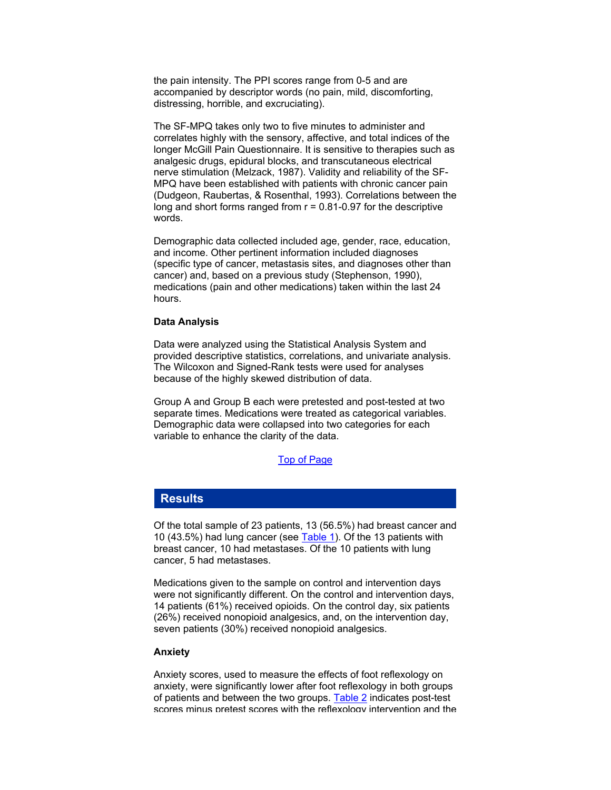the pain intensity. The PPI scores range from 0-5 and are accompanied by descriptor words (no pain, mild, discomforting, distressing, horrible, and excruciating).

The SF-MPQ takes only two to five minutes to administer and correlates highly with the sensory, affective, and total indices of the longer McGill Pain Questionnaire. It is sensitive to therapies such as analgesic drugs, epidural blocks, and transcutaneous electrical nerve stimulation (Melzack, 1987). Validity and reliability of the SF-MPQ have been established with patients with chronic cancer pain (Dudgeon, Raubertas, & Rosenthal, 1993). Correlations between the long and short forms ranged from  $r = 0.81 - 0.97$  for the descriptive words.

Demographic data collected included age, gender, race, education, and income. Other pertinent information included diagnoses (specific type of cancer, metastasis sites, and diagnoses other than cancer) and, based on a previous study (Stephenson, 1990), medications (pain and other medications) taken within the last 24 hours.

#### **Data Analysis**

Data were analyzed using the Statistical Analysis System and provided descriptive statistics, correlations, and univariate analysis. The Wilcoxon and Signed-Rank tests were used for analyses because of the highly skewed distribution of data.

Group A and Group B each were pretested and post-tested at two separate times. Medications were treated as categorical variables. Demographic data were collapsed into two categories for each variable to enhance the clarity of the data.

#### [Top of Page](http://www.ons.org/xp6/ONS/Library.xml/ONS_Publications.xml/ONF.xml/ONF2000.xml/JF2000.xml/Members_Only/)

#### **Results**

Of the total sample of 23 patients, 13 (56.5%) had breast cancer and 10 (43.5%) had lung cancer (see [Table 1\)](http://www.ons.org/images/Library/ons_publications/onf/2000/January_February/Stephenson_tab_1.gif). Of the 13 patients with breast cancer, 10 had metastases. Of the 10 patients with lung cancer, 5 had metastases.

Medications given to the sample on control and intervention days were not significantly different. On the control and intervention days, 14 patients (61%) received opioids. On the control day, six patients (26%) received nonopioid analgesics, and, on the intervention day, seven patients (30%) received nonopioid analgesics.

#### **Anxiety**

Anxiety scores, used to measure the effects of foot reflexology on anxiety, were significantly lower after foot reflexology in both groups of patients and between the two groups. [Table 2](http://www.ons.org/images/Library/ons_publications/onf/2000/January_February/Stephenson_tab_2.gif) indicates post-test scores minus pretest scores with the reflexology intervention and the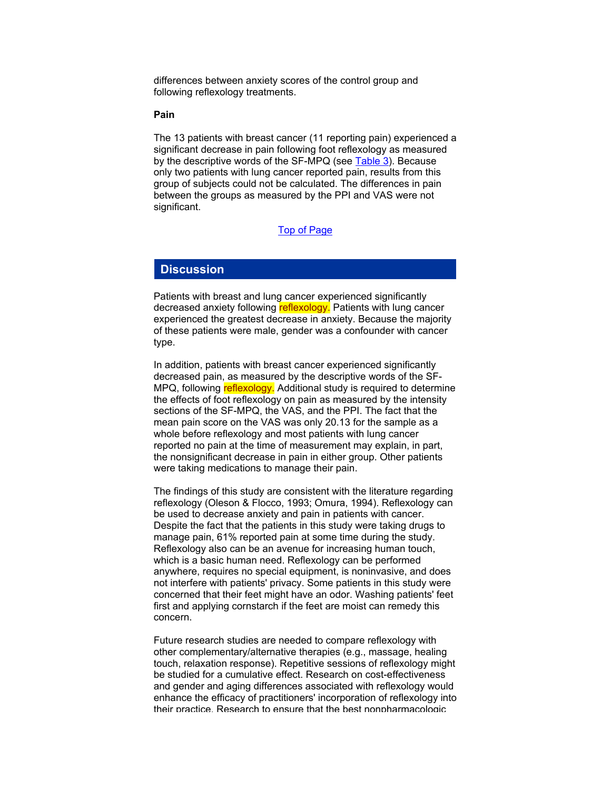differences between anxiety scores of the control group and following reflexology treatments.

#### **Pain**

The 13 patients with breast cancer (11 reporting pain) experienced a significant decrease in pain following foot reflexology as measured by the descriptive words of the SF-MPQ (see [Table 3\)](http://www.ons.org/images/Library/ons_publications/onf/2000/January_February/Stephenson_tab_3.gif). Because only two patients with lung cancer reported pain, results from this group of subjects could not be calculated. The differences in pain between the groups as measured by the PPI and VAS were not significant.

### [Top of Page](http://www.ons.org/xp6/ONS/Library.xml/ONS_Publications.xml/ONF.xml/ONF2000.xml/JF2000.xml/Members_Only/)

## **Discussion**

Patients with breast and lung cancer experienced significantly decreased anxiety following reflexology. Patients with lung cancer experienced the greatest decrease in anxiety. Because the majority of these patients were male, gender was a confounder with cancer type.

In addition, patients with breast cancer experienced significantly decreased pain, as measured by the descriptive words of the SF-MPQ, following reflexology. Additional study is required to determine the effects of foot reflexology on pain as measured by the intensity sections of the SF-MPQ, the VAS, and the PPI. The fact that the mean pain score on the VAS was only 20.13 for the sample as a whole before reflexology and most patients with lung cancer reported no pain at the time of measurement may explain, in part, the nonsignificant decrease in pain in either group. Other patients were taking medications to manage their pain.

The findings of this study are consistent with the literature regarding reflexology (Oleson & Flocco, 1993; Omura, 1994). Reflexology can be used to decrease anxiety and pain in patients with cancer. Despite the fact that the patients in this study were taking drugs to manage pain, 61% reported pain at some time during the study. Reflexology also can be an avenue for increasing human touch, which is a basic human need. Reflexology can be performed anywhere, requires no special equipment, is noninvasive, and does not interfere with patients' privacy. Some patients in this study were concerned that their feet might have an odor. Washing patients' feet first and applying cornstarch if the feet are moist can remedy this concern.

Future research studies are needed to compare reflexology with other complementary/alternative therapies (e.g., massage, healing touch, relaxation response). Repetitive sessions of reflexology might be studied for a cumulative effect. Research on cost-effectiveness and gender and aging differences associated with reflexology would enhance the efficacy of practitioners' incorporation of reflexology into their practice. Research to ensure that the best nonpharmacologic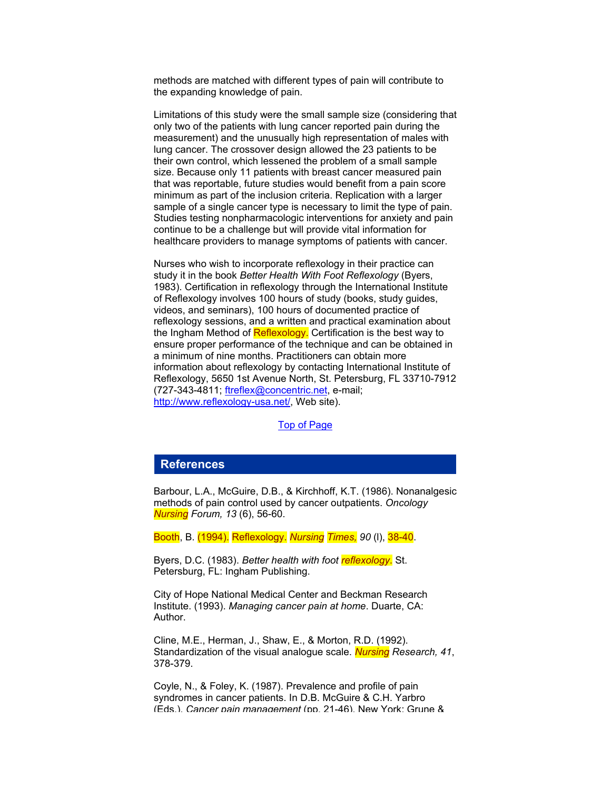methods are matched with different types of pain will contribute to the expanding knowledge of pain.

Limitations of this study were the small sample size (considering that only two of the patients with lung cancer reported pain during the measurement) and the unusually high representation of males with lung cancer. The crossover design allowed the 23 patients to be their own control, which lessened the problem of a small sample size. Because only 11 patients with breast cancer measured pain that was reportable, future studies would benefit from a pain score minimum as part of the inclusion criteria. Replication with a larger sample of a single cancer type is necessary to limit the type of pain. Studies testing nonpharmacologic interventions for anxiety and pain continue to be a challenge but will provide vital information for healthcare providers to manage symptoms of patients with cancer.

Nurses who wish to incorporate reflexology in their practice can study it in the book *Better Health With Foot Reflexology* (Byers, 1983). Certification in reflexology through the International Institute of Reflexology involves 100 hours of study (books, study guides, videos, and seminars), 100 hours of documented practice of reflexology sessions, and a written and practical examination about the Ingham Method of Reflexology. Certification is the best way to ensure proper performance of the technique and can be obtained in a minimum of nine months. Practitioners can obtain more information about reflexology by contacting International Institute of Reflexology, 5650 1st Avenue North, St. Petersburg, FL 33710-7912 (727-343-4811; [ftreflex@concentric.net](mailto:ftreflex@concentric.net), e-mail; <http://www.reflexology-usa.net/>, Web site).

### [Top of Page](http://www.ons.org/xp6/ONS/Library.xml/ONS_Publications.xml/ONF.xml/ONF2000.xml/JF2000.xml/Members_Only/)

#### **References**

Barbour, L.A., McGuire, D.B., & Kirchhoff, K.T. (1986). Nonanalgesic methods of pain control used by cancer outpatients. *Oncology Nursing Forum, 13* (6), 56-60.

Booth, B. (1994). Reflexology. *Nursing Times, 90* (l), 38-40.

Byers, D.C. (1983). *Better health with foot reflexology*. St. Petersburg, FL: Ingham Publishing.

City of Hope National Medical Center and Beckman Research Institute. (1993). *Managing cancer pain at home*. Duarte, CA: Author.

Cline, M.E., Herman, J., Shaw, E., & Morton, R.D. (1992). Standardization of the visual analogue scale. *Nursing Research, 41*, 378-379.

Coyle, N., & Foley, K. (1987). Prevalence and profile of pain syndromes in cancer patients. In D.B. McGuire & C.H. Yarbro (Eds.), *Cancer pain management* (pp. 21-46). New York: Grune &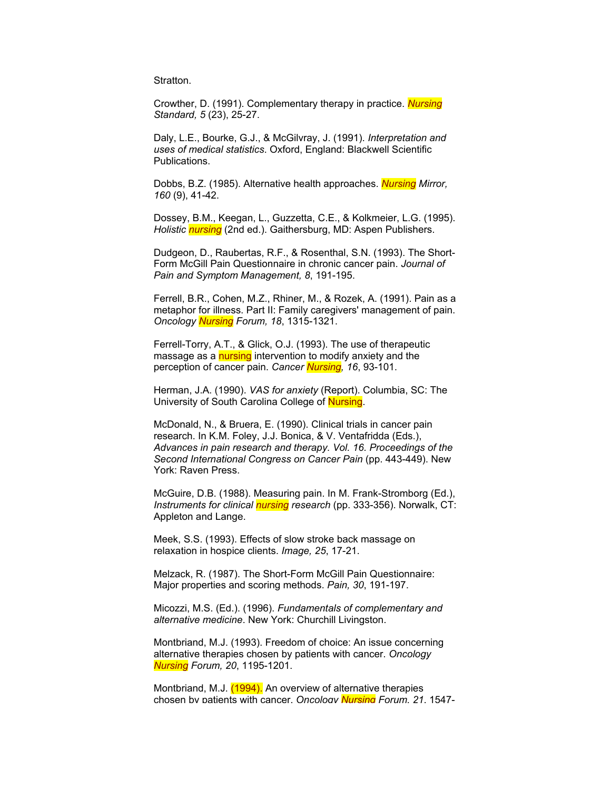**Stratton** 

Crowther, D. (1991). Complementary therapy in practice. *Nursing Standard, 5* (23), 25-27.

Daly, L.E., Bourke, G.J., & McGilvray, J. (1991). *Interpretation and uses of medical statistics*. Oxford, England: Blackwell Scientific Publications.

Dobbs, B.Z. (1985). Alternative health approaches. *Nursing Mirror, 160* (9), 41-42.

Dossey, B.M., Keegan, L., Guzzetta, C.E., & Kolkmeier, L.G. (1995). *Holistic nursing* (2nd ed.). Gaithersburg, MD: Aspen Publishers.

Dudgeon, D., Raubertas, R.F., & Rosenthal, S.N. (1993). The Short-Form McGill Pain Questionnaire in chronic cancer pain. *Journal of Pain and Symptom Management, 8*, 191-195.

Ferrell, B.R., Cohen, M.Z., Rhiner, M., & Rozek, A. (1991). Pain as a metaphor for illness. Part II: Family caregivers' management of pain. *Oncology Nursing Forum, 18*, 1315-1321.

Ferrell-Torry, A.T., & Glick, O.J. (1993). The use of therapeutic massage as a nursing intervention to modify anxiety and the perception of cancer pain. *Cancer Nursing, 16*, 93-101.

Herman, J.A. (1990). *VAS for anxiety* (Report). Columbia, SC: The University of South Carolina College of Nursing.

McDonald, N., & Bruera, E. (1990). Clinical trials in cancer pain research. In K.M. Foley, J.J. Bonica, & V. Ventafridda (Eds.), *Advances in pain research and therapy. Vol. 16. Proceedings of the Second International Congress on Cancer Pain* (pp. 443-449). New York: Raven Press.

McGuire, D.B. (1988). Measuring pain. In M. Frank-Stromborg (Ed.), *Instruments for clinical nursing research* (pp. 333-356). Norwalk, CT: Appleton and Lange.

Meek, S.S. (1993). Effects of slow stroke back massage on relaxation in hospice clients. *Image, 25*, 17-21.

Melzack, R. (1987). The Short-Form McGill Pain Questionnaire: Major properties and scoring methods. *Pain, 30*, 191-197.

Micozzi, M.S. (Ed.). (1996). *Fundamentals of complementary and alternative medicine*. New York: Churchill Livingston.

Montbriand, M.J. (1993). Freedom of choice: An issue concerning alternative therapies chosen by patients with cancer. *Oncology Nursing Forum, 20*, 1195-1201.

Montbriand, M.J. (1994). An overview of alternative therapies chosen by patients with cancer. *Oncology Nursing Forum, 21*, 1547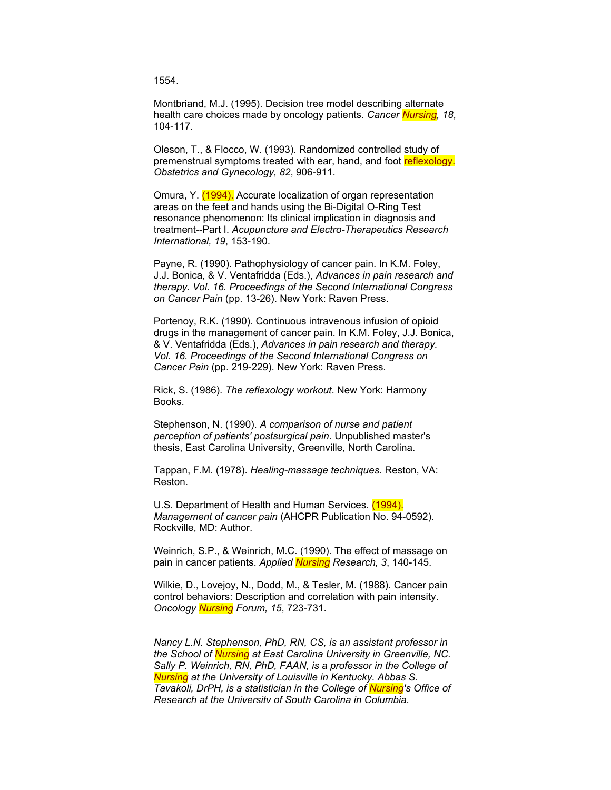1554.

Montbriand, M.J. (1995). Decision tree model describing alternate health care choices made by oncology patients. *Cancer Nursing, 18*, 104-117.

Oleson, T., & Flocco, W. (1993). Randomized controlled study of premenstrual symptoms treated with ear, hand, and foot reflexology. *Obstetrics and Gynecology, 82*, 906-911.

Omura, Y. (1994). Accurate localization of organ representation areas on the feet and hands using the Bi-Digital O-Ring Test resonance phenomenon: Its clinical implication in diagnosis and treatment--Part I. *Acupuncture and Electro-Therapeutics Research International, 19*, 153-190.

Payne, R. (1990). Pathophysiology of cancer pain. In K.M. Foley, J.J. Bonica, & V. Ventafridda (Eds.), *Advances in pain research and therapy. Vol. 16. Proceedings of the Second International Congress on Cancer Pain* (pp. 13-26). New York: Raven Press.

Portenoy, R.K. (1990). Continuous intravenous infusion of opioid drugs in the management of cancer pain. In K.M. Foley, J.J. Bonica, & V. Ventafridda (Eds.), *Advances in pain research and therapy. Vol. 16. Proceedings of the Second International Congress on Cancer Pain* (pp. 219-229). New York: Raven Press.

Rick, S. (1986). *The reflexology workout*. New York: Harmony Books.

Stephenson, N. (1990). *A comparison of nurse and patient perception of patients' postsurgical pain*. Unpublished master's thesis, East Carolina University, Greenville, North Carolina.

Tappan, F.M. (1978). *Healing-massage techniques*. Reston, VA: Reston.

U.S. Department of Health and Human Services. (1994). *Management of cancer pain* (AHCPR Publication No. 94-0592). Rockville, MD: Author.

Weinrich, S.P., & Weinrich, M.C. (1990). The effect of massage on pain in cancer patients. *Applied Nursing Research, 3*, 140-145.

Wilkie, D., Lovejoy, N., Dodd, M., & Tesler, M. (1988). Cancer pain control behaviors: Description and correlation with pain intensity. *Oncology Nursing Forum, 15*, 723-731.

*Nancy L.N. Stephenson, PhD, RN, CS, is an assistant professor in the School of Nursing at East Carolina University in Greenville, NC. Sally P. Weinrich, RN, PhD, FAAN, is a professor in the College of Nursing at the University of Louisville in Kentucky. Abbas S. Tavakoli, DrPH, is a statistician in the College of Nursing's Office of Research at the University of South Carolina in Columbia.*